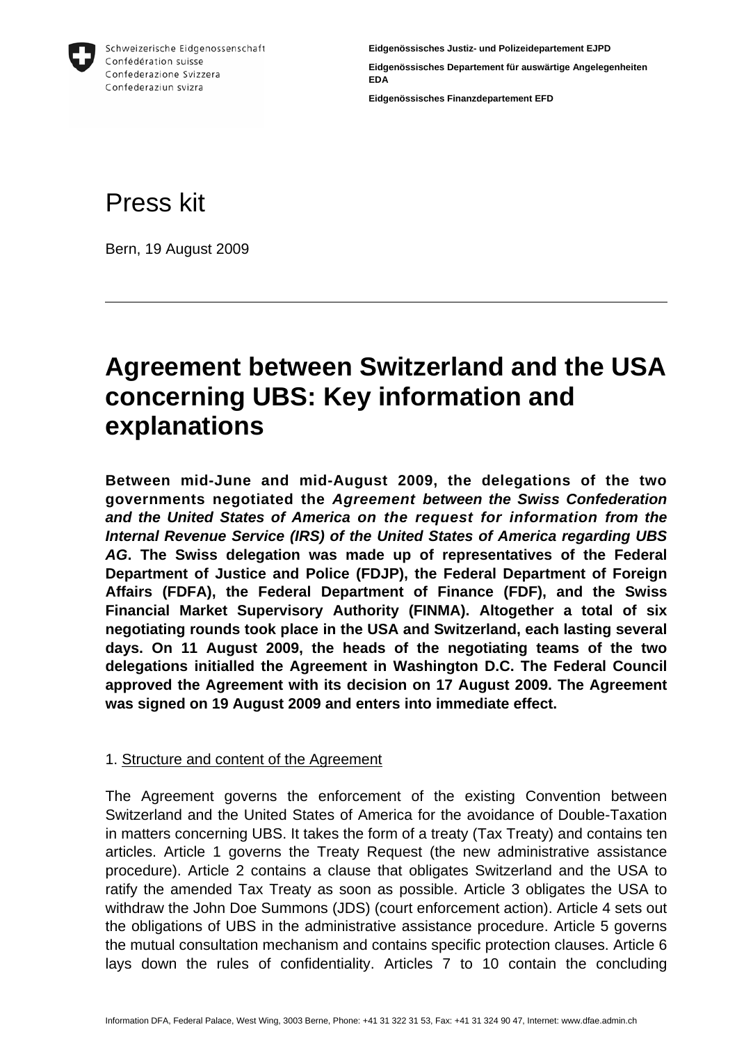

**Eidgenössisches Justiz- und Polizeidepartement EJPD Eidgenössisches Departement für auswärtige Angelegenheiten EDA Eidgenössisches Finanzdepartement EFD** 

# Press kit

Bern, 19 August 2009

## **Agreement between Switzerland and the USA concerning UBS: Key information and explanations**

**Between mid-June and mid-August 2009, the delegations of the two governments negotiated the** *Agreement between the Swiss Confederation and the United States of America on the request for information from the Internal Revenue Service (IRS) of the United States of America regarding UBS AG***. The Swiss delegation was made up of representatives of the Federal Department of Justice and Police (FDJP), the Federal Department of Foreign Affairs (FDFA), the Federal Department of Finance (FDF), and the Swiss Financial Market Supervisory Authority (FINMA). Altogether a total of six negotiating rounds took place in the USA and Switzerland, each lasting several days. On 11 August 2009, the heads of the negotiating teams of the two delegations initialled the Agreement in Washington D.C. The Federal Council approved the Agreement with its decision on 17 August 2009. The Agreement was signed on 19 August 2009 and enters into immediate effect.** 

## 1. Structure and content of the Agreement

The Agreement governs the enforcement of the existing Convention between Switzerland and the United States of America for the avoidance of Double-Taxation in matters concerning UBS. It takes the form of a treaty (Tax Treaty) and contains ten articles. Article 1 governs the Treaty Request (the new administrative assistance procedure). Article 2 contains a clause that obligates Switzerland and the USA to ratify the amended Tax Treaty as soon as possible. Article 3 obligates the USA to withdraw the John Doe Summons (JDS) (court enforcement action). Article 4 sets out the obligations of UBS in the administrative assistance procedure. Article 5 governs the mutual consultation mechanism and contains specific protection clauses. Article 6 lays down the rules of confidentiality. Articles 7 to 10 contain the concluding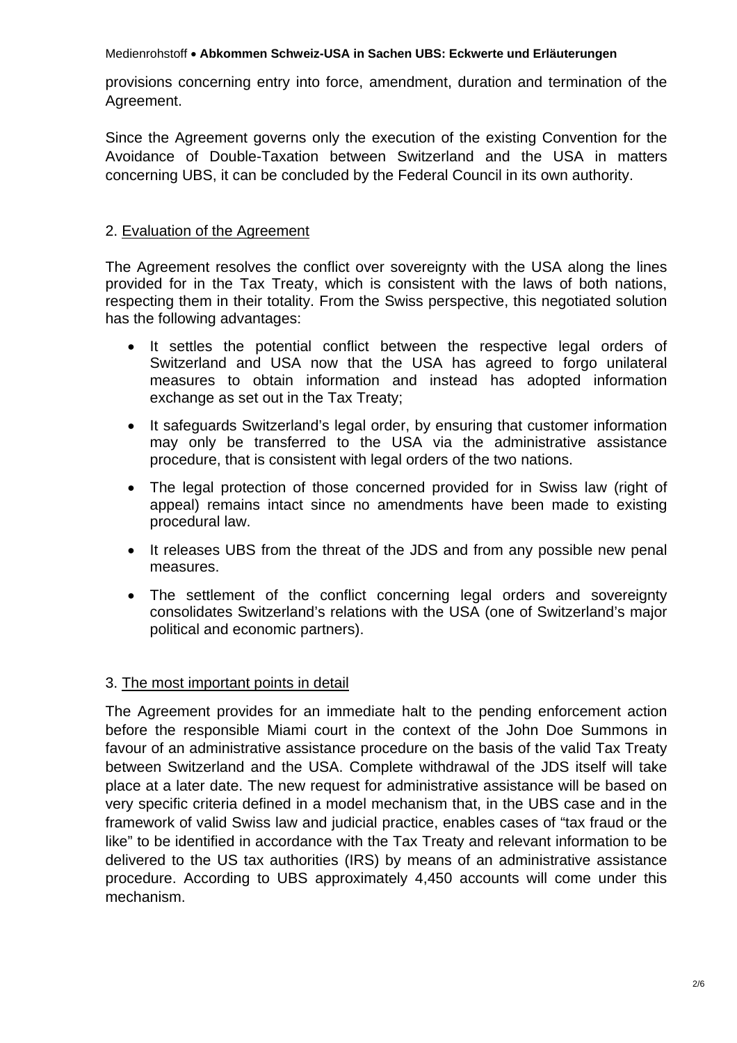provisions concerning entry into force, amendment, duration and termination of the Agreement.

Since the Agreement governs only the execution of the existing Convention for the Avoidance of Double-Taxation between Switzerland and the USA in matters concerning UBS, it can be concluded by the Federal Council in its own authority.

## 2. Evaluation of the Agreement

The Agreement resolves the conflict over sovereignty with the USA along the lines provided for in the Tax Treaty, which is consistent with the laws of both nations, respecting them in their totality. From the Swiss perspective, this negotiated solution has the following advantages:

- It settles the potential conflict between the respective legal orders of Switzerland and USA now that the USA has agreed to forgo unilateral measures to obtain information and instead has adopted information exchange as set out in the Tax Treaty;
- It safeguards Switzerland's legal order, by ensuring that customer information may only be transferred to the USA via the administrative assistance procedure, that is consistent with legal orders of the two nations.
- The legal protection of those concerned provided for in Swiss law (right of appeal) remains intact since no amendments have been made to existing procedural law.
- It releases UBS from the threat of the JDS and from any possible new penal measures.
- The settlement of the conflict concerning legal orders and sovereignty consolidates Switzerland's relations with the USA (one of Switzerland's major political and economic partners).

## 3. The most important points in detail

The Agreement provides for an immediate halt to the pending enforcement action before the responsible Miami court in the context of the John Doe Summons in favour of an administrative assistance procedure on the basis of the valid Tax Treaty between Switzerland and the USA. Complete withdrawal of the JDS itself will take place at a later date. The new request for administrative assistance will be based on very specific criteria defined in a model mechanism that, in the UBS case and in the framework of valid Swiss law and judicial practice, enables cases of "tax fraud or the like" to be identified in accordance with the Tax Treaty and relevant information to be delivered to the US tax authorities (IRS) by means of an administrative assistance procedure. According to UBS approximately 4,450 accounts will come under this mechanism.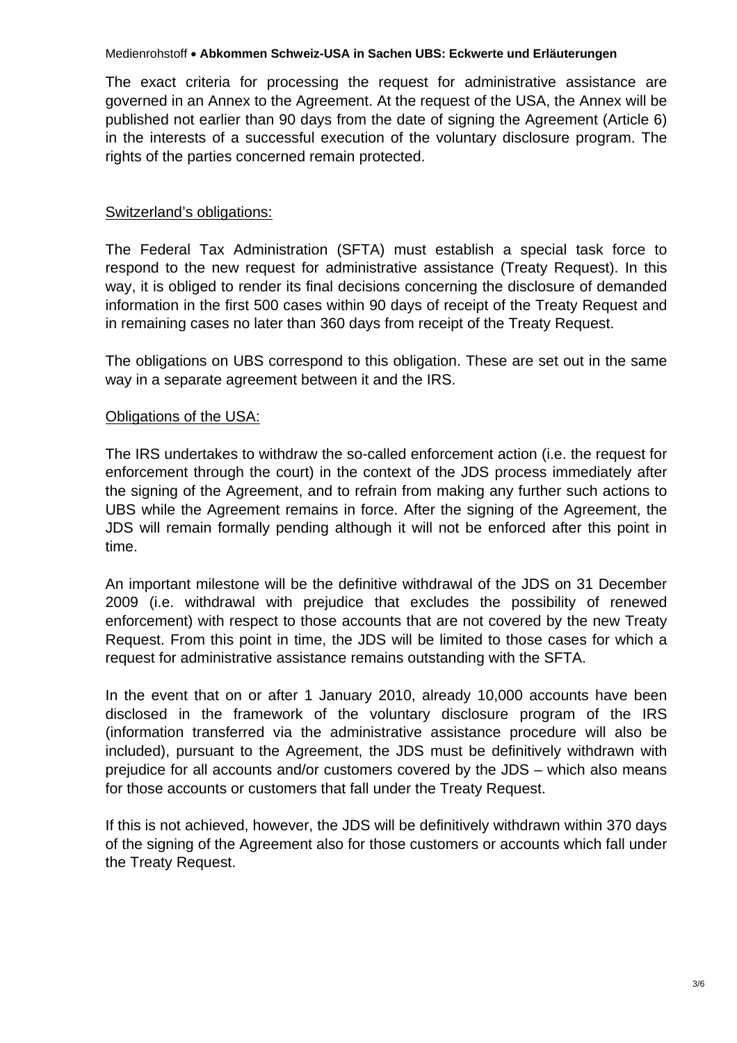The exact criteria for processing the request for administrative assistance are governed in an Annex to the Agreement. At the request of the USA, the Annex will be published not earlier than 90 days from the date of signing the Agreement (Article 6) in the interests of a successful execution of the voluntary disclosure program. The rights of the parties concerned remain protected.

## Switzerland's obligations:

The Federal Tax Administration (SFTA) must establish a special task force to respond to the new request for administrative assistance (Treaty Request). In this way, it is obliged to render its final decisions concerning the disclosure of demanded information in the first 500 cases within 90 days of receipt of the Treaty Request and in remaining cases no later than 360 days from receipt of the Treaty Request.

The obligations on UBS correspond to this obligation. These are set out in the same way in a separate agreement between it and the IRS.

## Obligations of the USA:

The IRS undertakes to withdraw the so-called enforcement action (i.e. the request for enforcement through the court) in the context of the JDS process immediately after the signing of the Agreement, and to refrain from making any further such actions to UBS while the Agreement remains in force. After the signing of the Agreement, the JDS will remain formally pending although it will not be enforced after this point in time.

An important milestone will be the definitive withdrawal of the JDS on 31 December 2009 (i.e. withdrawal with prejudice that excludes the possibility of renewed enforcement) with respect to those accounts that are not covered by the new Treaty Request. From this point in time, the JDS will be limited to those cases for which a request for administrative assistance remains outstanding with the SFTA.

In the event that on or after 1 January 2010, already 10,000 accounts have been disclosed in the framework of the voluntary disclosure program of the IRS (information transferred via the administrative assistance procedure will also be included), pursuant to the Agreement, the JDS must be definitively withdrawn with prejudice for all accounts and/or customers covered by the JDS – which also means for those accounts or customers that fall under the Treaty Request.

If this is not achieved, however, the JDS will be definitively withdrawn within 370 days of the signing of the Agreement also for those customers or accounts which fall under the Treaty Request.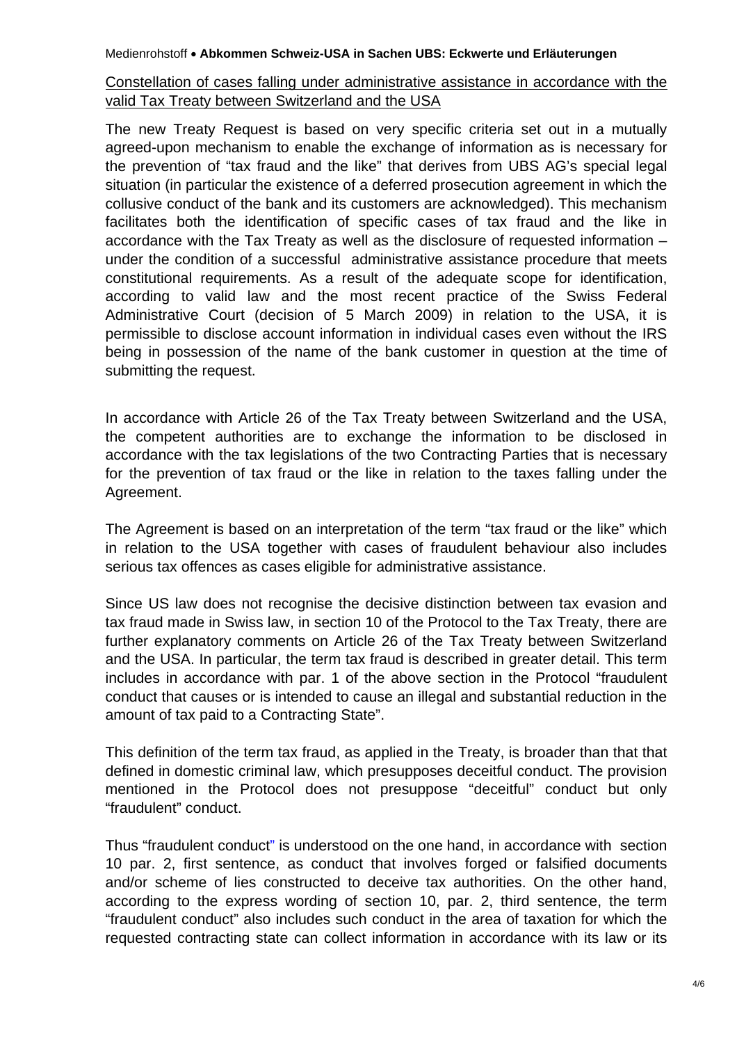## Constellation of cases falling under administrative assistance in accordance with the valid Tax Treaty between Switzerland and the USA

The new Treaty Request is based on very specific criteria set out in a mutually agreed-upon mechanism to enable the exchange of information as is necessary for the prevention of "tax fraud and the like" that derives from UBS AG's special legal situation (in particular the existence of a deferred prosecution agreement in which the collusive conduct of the bank and its customers are acknowledged). This mechanism facilitates both the identification of specific cases of tax fraud and the like in accordance with the Tax Treaty as well as the disclosure of requested information – under the condition of a successful administrative assistance procedure that meets constitutional requirements. As a result of the adequate scope for identification, according to valid law and the most recent practice of the Swiss Federal Administrative Court (decision of 5 March 2009) in relation to the USA, it is permissible to disclose account information in individual cases even without the IRS being in possession of the name of the bank customer in question at the time of submitting the request.

In accordance with Article 26 of the Tax Treaty between Switzerland and the USA, the competent authorities are to exchange the information to be disclosed in accordance with the tax legislations of the two Contracting Parties that is necessary for the prevention of tax fraud or the like in relation to the taxes falling under the Agreement.

The Agreement is based on an interpretation of the term "tax fraud or the like" which in relation to the USA together with cases of fraudulent behaviour also includes serious tax offences as cases eligible for administrative assistance.

Since US law does not recognise the decisive distinction between tax evasion and tax fraud made in Swiss law, in section 10 of the Protocol to the Tax Treaty, there are further explanatory comments on Article 26 of the Tax Treaty between Switzerland and the USA. In particular, the term tax fraud is described in greater detail. This term includes in accordance with par. 1 of the above section in the Protocol "fraudulent conduct that causes or is intended to cause an illegal and substantial reduction in the amount of tax paid to a Contracting State".

This definition of the term tax fraud, as applied in the Treaty, is broader than that that defined in domestic criminal law, which presupposes deceitful conduct. The provision mentioned in the Protocol does not presuppose "deceitful" conduct but only "fraudulent" conduct.

Thus "fraudulent conduct" is understood on the one hand, in accordance with section 10 par. 2, first sentence, as conduct that involves forged or falsified documents and/or scheme of lies constructed to deceive tax authorities. On the other hand, according to the express wording of section 10, par. 2, third sentence, the term "fraudulent conduct" also includes such conduct in the area of taxation for which the requested contracting state can collect information in accordance with its law or its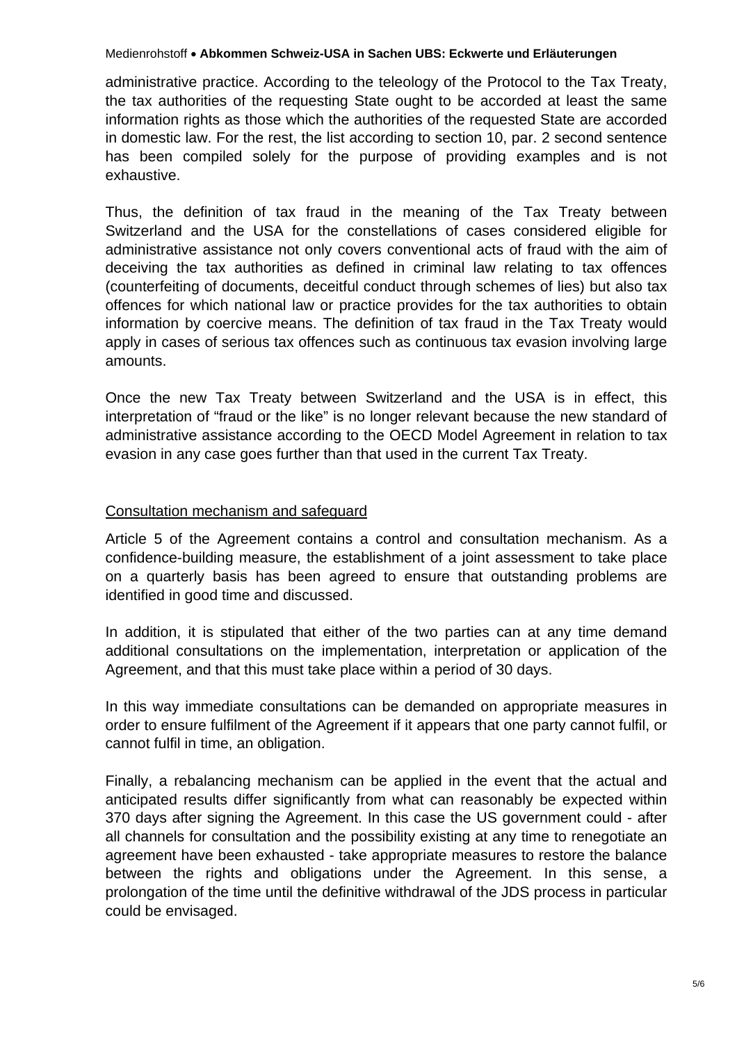administrative practice. According to the teleology of the Protocol to the Tax Treaty, the tax authorities of the requesting State ought to be accorded at least the same information rights as those which the authorities of the requested State are accorded in domestic law. For the rest, the list according to section 10, par. 2 second sentence has been compiled solely for the purpose of providing examples and is not exhaustive.

Thus, the definition of tax fraud in the meaning of the Tax Treaty between Switzerland and the USA for the constellations of cases considered eligible for administrative assistance not only covers conventional acts of fraud with the aim of deceiving the tax authorities as defined in criminal law relating to tax offences (counterfeiting of documents, deceitful conduct through schemes of lies) but also tax offences for which national law or practice provides for the tax authorities to obtain information by coercive means. The definition of tax fraud in the Tax Treaty would apply in cases of serious tax offences such as continuous tax evasion involving large amounts.

Once the new Tax Treaty between Switzerland and the USA is in effect, this interpretation of "fraud or the like" is no longer relevant because the new standard of administrative assistance according to the OECD Model Agreement in relation to tax evasion in any case goes further than that used in the current Tax Treaty.

## Consultation mechanism and safeguard

Article 5 of the Agreement contains a control and consultation mechanism. As a confidence-building measure, the establishment of a joint assessment to take place on a quarterly basis has been agreed to ensure that outstanding problems are identified in good time and discussed.

In addition, it is stipulated that either of the two parties can at any time demand additional consultations on the implementation, interpretation or application of the Agreement, and that this must take place within a period of 30 days.

In this way immediate consultations can be demanded on appropriate measures in order to ensure fulfilment of the Agreement if it appears that one party cannot fulfil, or cannot fulfil in time, an obligation.

Finally, a rebalancing mechanism can be applied in the event that the actual and anticipated results differ significantly from what can reasonably be expected within 370 days after signing the Agreement. In this case the US government could - after all channels for consultation and the possibility existing at any time to renegotiate an agreement have been exhausted - take appropriate measures to restore the balance between the rights and obligations under the Agreement. In this sense, a prolongation of the time until the definitive withdrawal of the JDS process in particular could be envisaged.